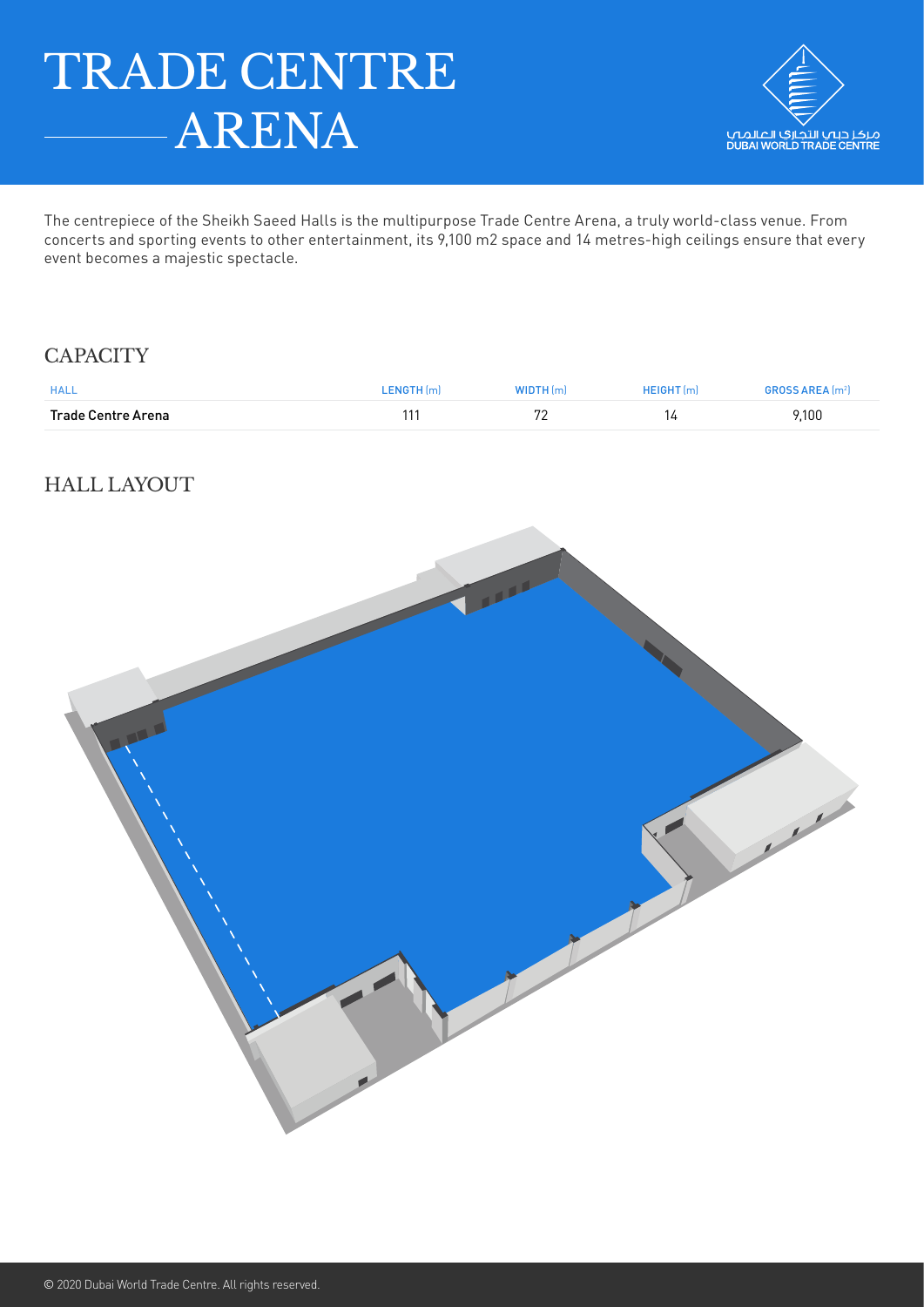# TRADE CENTRE ARENA



The centrepiece of the Sheikh Saeed Halls is the multipurpose Trade Centre Arena, a truly world-class venue. From concerts and sporting events to other entertainment, its 9,100 m2 space and 14 metres-high ceilings ensure that every event becomes a majestic spectacle.

## **CAPACITY**

| <b>HALL</b>        | L <b>ENGTH</b> [m] | WIDTH(m) | <b>HEIGHT</b> (m) | <b>GROSS AREA</b> [m <sup>2</sup> ] |
|--------------------|--------------------|----------|-------------------|-------------------------------------|
| Trade Centre Arena | 11'                | 70       | ιд                | 9,100                               |

# HALL LAYOUT